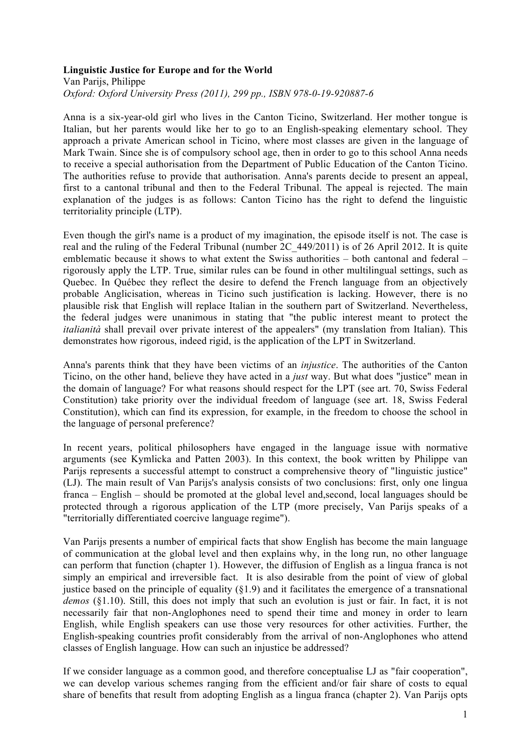## **Linguistic Justice for Europe and for the World**

Van Parijs, Philippe *Oxford: Oxford University Press (2011), 299 pp., ISBN 978-0-19-920887-6*

Anna is a six-year-old girl who lives in the Canton Ticino, Switzerland. Her mother tongue is Italian, but her parents would like her to go to an English-speaking elementary school. They approach a private American school in Ticino, where most classes are given in the language of Mark Twain. Since she is of compulsory school age, then in order to go to this school Anna needs to receive a special authorisation from the Department of Public Education of the Canton Ticino. The authorities refuse to provide that authorisation. Anna's parents decide to present an appeal, first to a cantonal tribunal and then to the Federal Tribunal. The appeal is rejected. The main explanation of the judges is as follows: Canton Ticino has the right to defend the linguistic territoriality principle (LTP).

Even though the girl's name is a product of my imagination, the episode itself is not. The case is real and the ruling of the Federal Tribunal (number 2C\_449/2011) is of 26 April 2012. It is quite emblematic because it shows to what extent the Swiss authorities – both cantonal and federal – rigorously apply the LTP. True, similar rules can be found in other multilingual settings, such as Quebec. In Québec they reflect the desire to defend the French language from an objectively probable Anglicisation, whereas in Ticino such justification is lacking. However, there is no plausible risk that English will replace Italian in the southern part of Switzerland. Nevertheless, the federal judges were unanimous in stating that "the public interest meant to protect the *italianità* shall prevail over private interest of the appealers" (my translation from Italian). This demonstrates how rigorous, indeed rigid, is the application of the LPT in Switzerland.

Anna's parents think that they have been victims of an *injustice*. The authorities of the Canton Ticino, on the other hand, believe they have acted in a *just* way. But what does "justice" mean in the domain of language? For what reasons should respect for the LPT (see art. 70, Swiss Federal Constitution) take priority over the individual freedom of language (see art. 18, Swiss Federal Constitution), which can find its expression, for example, in the freedom to choose the school in the language of personal preference?

In recent years, political philosophers have engaged in the language issue with normative arguments (see Kymlicka and Patten 2003). In this context, the book written by Philippe van Parijs represents a successful attempt to construct a comprehensive theory of "linguistic justice" (LJ). The main result of Van Parijs's analysis consists of two conclusions: first, only one lingua franca – English – should be promoted at the global level and,second, local languages should be protected through a rigorous application of the LTP (more precisely, Van Parijs speaks of a "territorially differentiated coercive language regime").

Van Parijs presents a number of empirical facts that show English has become the main language of communication at the global level and then explains why, in the long run, no other language can perform that function (chapter 1). However, the diffusion of English as a lingua franca is not simply an empirical and irreversible fact. It is also desirable from the point of view of global justice based on the principle of equality  $(\S1.9)$  and it facilitates the emergence of a transnational *demos* (§1.10). Still, this does not imply that such an evolution is just or fair. In fact, it is not necessarily fair that non-Anglophones need to spend their time and money in order to learn English, while English speakers can use those very resources for other activities. Further, the English-speaking countries profit considerably from the arrival of non-Anglophones who attend classes of English language. How can such an injustice be addressed?

If we consider language as a common good, and therefore conceptualise LJ as "fair cooperation", we can develop various schemes ranging from the efficient and/or fair share of costs to equal share of benefits that result from adopting English as a lingua franca (chapter 2). Van Parijs opts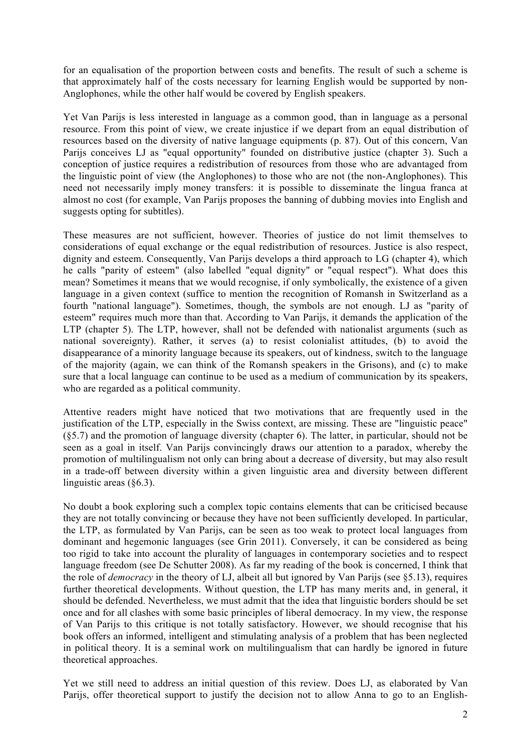for an equalisation of the proportion between costs and benefits. The result of such a scheme is that approximately half of the costs necessary for learning English would be supported by non-Anglophones, while the other half would be covered by English speakers.

Yet Van Parijs is less interested in language as a common good, than in language as a personal resource. From this point of view, we create injustice if we depart from an equal distribution of resources based on the diversity of native language equipments (p. 87). Out of this concern, Van Parijs conceives LJ as "equal opportunity" founded on distributive justice (chapter 3). Such a conception of justice requires a redistribution of resources from those who are advantaged from the linguistic point of view (the Anglophones) to those who are not (the non-Anglophones). This need not necessarily imply money transfers: it is possible to disseminate the lingua franca at almost no cost (for example, Van Parijs proposes the banning of dubbing movies into English and suggests opting for subtitles).

These measures are not sufficient, however. Theories of justice do not limit themselves to considerations of equal exchange or the equal redistribution of resources. Justice is also respect, dignity and esteem. Consequently, Van Parijs develops a third approach to LG (chapter 4), which he calls "parity of esteem" (also labelled "equal dignity" or "equal respect"). What does this mean? Sometimes it means that we would recognise, if only symbolically, the existence of a given language in a given context (suffice to mention the recognition of Romansh in Switzerland as a fourth "national language"). Sometimes, though, the symbols are not enough. LJ as "parity of esteem" requires much more than that. According to Van Parijs, it demands the application of the LTP (chapter 5). The LTP, however, shall not be defended with nationalist arguments (such as national sovereignty). Rather, it serves (a) to resist colonialist attitudes, (b) to avoid the disappearance of a minority language because its speakers, out of kindness, switch to the language of the majority (again, we can think of the Romansh speakers in the Grisons), and (c) to make sure that a local language can continue to be used as a medium of communication by its speakers, who are regarded as a political community.

Attentive readers might have noticed that two motivations that are frequently used in the justification of the LTP, especially in the Swiss context, are missing. These are "linguistic peace" (§5.7) and the promotion of language diversity (chapter 6). The latter, in particular, should not be seen as a goal in itself. Van Parijs convincingly draws our attention to a paradox, whereby the promotion of multilingualism not only can bring about a decrease of diversity, but may also result in a trade-off between diversity within a given linguistic area and diversity between different linguistic areas (§6.3).

No doubt a book exploring such a complex topic contains elements that can be criticised because they are not totally convincing or because they have not been sufficiently developed. In particular, the LTP, as formulated by Van Parijs, can be seen as too weak to protect local languages from dominant and hegemonic languages (see Grin 2011). Conversely, it can be considered as being too rigid to take into account the plurality of languages in contemporary societies and to respect language freedom (see De Schutter 2008). As far my reading of the book is concerned, I think that the role of *democracy* in the theory of LJ, albeit all but ignored by Van Parijs (see §5.13), requires further theoretical developments. Without question, the LTP has many merits and, in general, it should be defended. Nevertheless, we must admit that the idea that linguistic borders should be set once and for all clashes with some basic principles of liberal democracy. In my view, the response of Van Parijs to this critique is not totally satisfactory. However, we should recognise that his book offers an informed, intelligent and stimulating analysis of a problem that has been neglected in political theory. It is a seminal work on multilingualism that can hardly be ignored in future theoretical approaches.

Yet we still need to address an initial question of this review. Does LJ, as elaborated by Van Parijs, offer theoretical support to justify the decision not to allow Anna to go to an English-